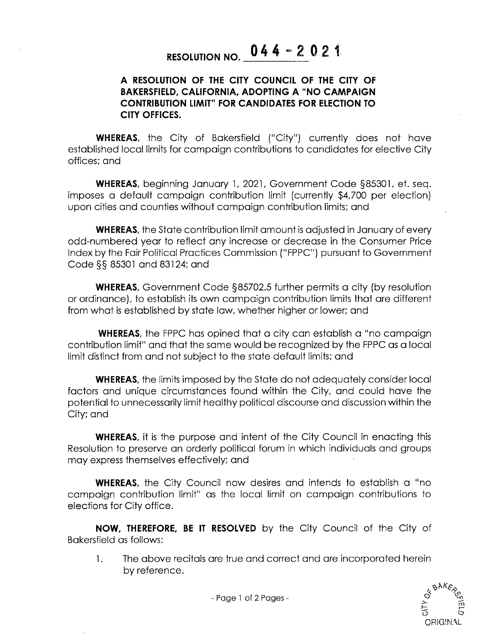## RESOLUTION NO.  $044 - 2021$

## A RESOLUTION OF THE CITY COUNCIL OF THE CITY OF BAKERSFIELD, CALIFORNIA, ADOPTING A " NO CAMPAIGN CONTRIBUTION LIMIT" FOR CANDIDATES FOR ELECTION TO CITY OFFICES.

WHEREAS, the City of Bakersfield ("City") currently does not have established local limits for campaign contributions to candidates for elective City offices; and

WHEREAS, beginning January 1, 2021, Government Code § 85301, et. seq. imposes a default campaign contribution limit (currently \$4,700 per election) upon cities and counties without campaign contribution limits; and

WHEREAS, the State contribution limit amount is adjusted in January of every odd -numbered year to reflect any increase or decrease in the Consumer Price Index by the Fair Political Practices Commission (" FPPC") pursuant to Government Code §§ 85301 and 83124; and

WHEREAS, Government Code §85702.5 further permits a city (by resolution or ordinance), to establish its own campaign contribution limits that are different from what is established by state law, whether higher or lower; and

WHEREAS, the FPPC has opined that a city can establish a "no campaign contribution limit" and that the same would be recognized by the FPPC as a local limit distinct from and not subject to the state default limits; and

WHEREAS, the limits imposed by the State do not adequately consider local factors and unique circumstances found within the City, and could have the potential to unnecessarily limit healthy political discourse and discussion within the City; and

WHEREAS, it is the purpose and intent of the City Council in enacting this Resolution to preserve an orderly political forum in which individuals and groups may express themselves effectively; and

WHEREAS, the City Council now desires and intends to establish a "no campaign contribution limit" as the local limit on campaign contributions to elections for City office.

NOW, THEREFORE, BE IT RESOLVED by the City Council of the City of Bakersfield as follows:

1. The above recitals are true and correct and are incorporated herein by reference.



- Page 1 of 2 Pages -